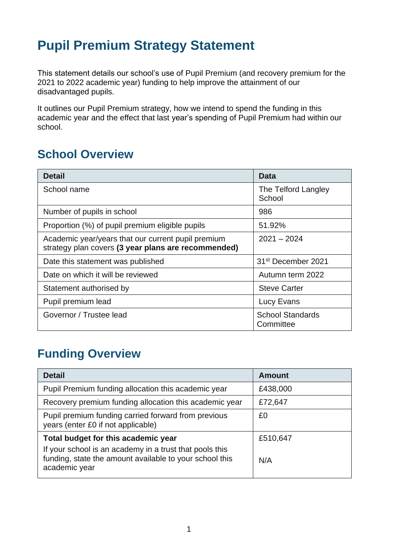# **Pupil Premium Strategy Statement**

This statement details our school's use of Pupil Premium (and recovery premium for the 2021 to 2022 academic year) funding to help improve the attainment of our disadvantaged pupils.

It outlines our Pupil Premium strategy, how we intend to spend the funding in this academic year and the effect that last year's spending of Pupil Premium had within our school.

## **School Overview**

| <b>Detail</b>                                                                                             | Data                                 |
|-----------------------------------------------------------------------------------------------------------|--------------------------------------|
| School name                                                                                               | The Telford Langley<br>School        |
| Number of pupils in school                                                                                | 986                                  |
| Proportion (%) of pupil premium eligible pupils                                                           | 51.92%                               |
| Academic year/years that our current pupil premium<br>strategy plan covers (3 year plans are recommended) | $2021 - 2024$                        |
| Date this statement was published                                                                         | 31 <sup>st</sup> December 2021       |
| Date on which it will be reviewed                                                                         | Autumn term 2022                     |
| Statement authorised by                                                                                   | <b>Steve Carter</b>                  |
| Pupil premium lead                                                                                        | Lucy Evans                           |
| Governor / Trustee lead                                                                                   | <b>School Standards</b><br>Committee |

## **Funding Overview**

| <b>Detail</b>                                                                                                                                                              | <b>Amount</b>   |
|----------------------------------------------------------------------------------------------------------------------------------------------------------------------------|-----------------|
| Pupil Premium funding allocation this academic year                                                                                                                        | £438,000        |
| Recovery premium funding allocation this academic year                                                                                                                     | £72,647         |
| Pupil premium funding carried forward from previous<br>years (enter £0 if not applicable)                                                                                  | £0              |
| Total budget for this academic year<br>If your school is an academy in a trust that pools this<br>funding, state the amount available to your school this<br>academic year | £510,647<br>N/A |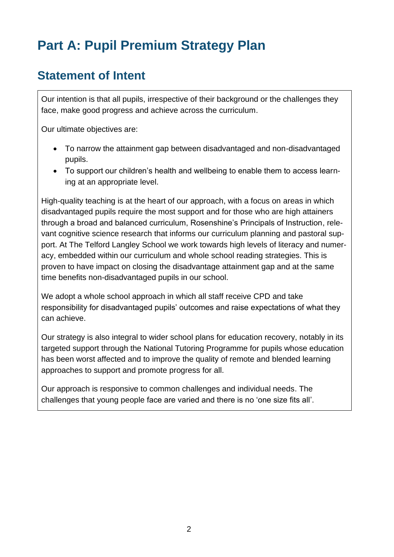# **Part A: Pupil Premium Strategy Plan**

#### **Statement of Intent**

Our intention is that all pupils, irrespective of their background or the challenges they face, make good progress and achieve across the curriculum.

Our ultimate objectives are:

- To narrow the attainment gap between disadvantaged and non-disadvantaged pupils.
- To support our children's health and wellbeing to enable them to access learning at an appropriate level.

High-quality teaching is at the heart of our approach, with a focus on areas in which disadvantaged pupils require the most support and for those who are high attainers through a broad and balanced curriculum, Rosenshine's Principals of Instruction, relevant cognitive science research that informs our curriculum planning and pastoral support. At The Telford Langley School we work towards high levels of literacy and numeracy, embedded within our curriculum and whole school reading strategies. This is proven to have impact on closing the disadvantage attainment gap and at the same time benefits non-disadvantaged pupils in our school.

We adopt a whole school approach in which all staff receive CPD and take responsibility for disadvantaged pupils' outcomes and raise expectations of what they can achieve.

Our strategy is also integral to wider school plans for education recovery, notably in its targeted support through the National Tutoring Programme for pupils whose education has been worst affected and to improve the quality of remote and blended learning approaches to support and promote progress for all.

Our approach is responsive to common challenges and individual needs. The challenges that young people face are varied and there is no 'one size fits all'.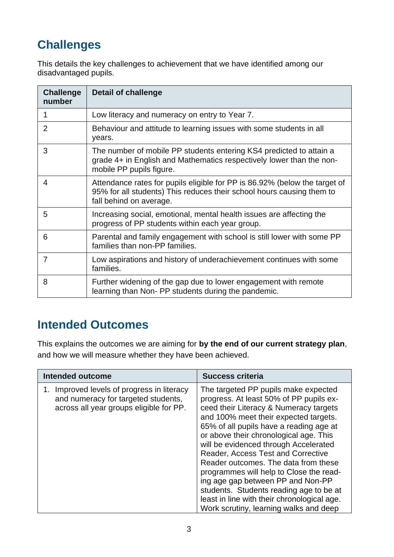## **Challenges**

This details the key challenges to achievement that we have identified among our disadvantaged pupils.

| <b>Challenge</b><br>number | <b>Detail of challenge</b>                                                                                                                                                     |
|----------------------------|--------------------------------------------------------------------------------------------------------------------------------------------------------------------------------|
| 1                          | Low literacy and numeracy on entry to Year 7.                                                                                                                                  |
| 2                          | Behaviour and attitude to learning issues with some students in all<br>years.                                                                                                  |
| 3                          | The number of mobile PP students entering KS4 predicted to attain a<br>grade 4+ in English and Mathematics respectively lower than the non-<br>mobile PP pupils figure.        |
| 4                          | Attendance rates for pupils eligible for PP is 86.92% (below the target of<br>95% for all students) This reduces their school hours causing them to<br>fall behind on average. |
| 5                          | Increasing social, emotional, mental health issues are affecting the<br>progress of PP students within each year group.                                                        |
| 6                          | Parental and family engagement with school is still lower with some PP<br>families than non-PP families.                                                                       |
| 7                          | Low aspirations and history of underachievement continues with some<br>families.                                                                                               |
| 8                          | Further widening of the gap due to lower engagement with remote<br>learning than Non-PP students during the pandemic.                                                          |

## **Intended Outcomes**

This explains the outcomes we are aiming for **by the end of our current strategy plan**, and how we will measure whether they have been achieved.

| Intended outcome                                                                                                          | <b>Success criteria</b>                                                                                                                                                                                                                                                                                                                                                                                                                                                                                                                                                                            |
|---------------------------------------------------------------------------------------------------------------------------|----------------------------------------------------------------------------------------------------------------------------------------------------------------------------------------------------------------------------------------------------------------------------------------------------------------------------------------------------------------------------------------------------------------------------------------------------------------------------------------------------------------------------------------------------------------------------------------------------|
| Improved levels of progress in literacy<br>and numeracy for targeted students,<br>across all year groups eligible for PP. | The targeted PP pupils make expected<br>progress. At least 50% of PP pupils ex-<br>ceed their Literacy & Numeracy targets<br>and 100% meet their expected targets.<br>65% of all pupils have a reading age at<br>or above their chronological age. This<br>will be evidenced through Accelerated<br>Reader, Access Test and Corrective<br>Reader outcomes. The data from these<br>programmes will help to Close the read-<br>ing age gap between PP and Non-PP<br>students. Students reading age to be at<br>least in line with their chronological age.<br>Work scrutiny, learning walks and deep |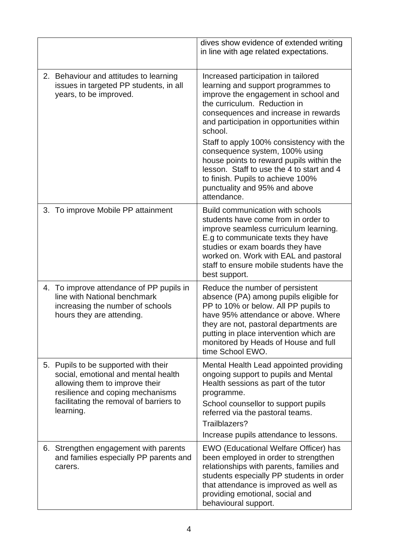|                                                                                                                                                                                                           | dives show evidence of extended writing<br>in line with age related expectations.                                                                                                                                                                                                                                                                                                                                                                                                                             |
|-----------------------------------------------------------------------------------------------------------------------------------------------------------------------------------------------------------|---------------------------------------------------------------------------------------------------------------------------------------------------------------------------------------------------------------------------------------------------------------------------------------------------------------------------------------------------------------------------------------------------------------------------------------------------------------------------------------------------------------|
| 2. Behaviour and attitudes to learning<br>issues in targeted PP students, in all<br>years, to be improved.                                                                                                | Increased participation in tailored<br>learning and support programmes to<br>improve the engagement in school and<br>the curriculum. Reduction in<br>consequences and increase in rewards<br>and participation in opportunities within<br>school.<br>Staff to apply 100% consistency with the<br>consequence system, 100% using<br>house points to reward pupils within the<br>lesson. Staff to use the 4 to start and 4<br>to finish. Pupils to achieve 100%<br>punctuality and 95% and above<br>attendance. |
| 3. To improve Mobile PP attainment                                                                                                                                                                        | Build communication with schools<br>students have come from in order to<br>improve seamless curriculum learning.<br>E.g to communicate texts they have<br>studies or exam boards they have<br>worked on. Work with EAL and pastoral<br>staff to ensure mobile students have the<br>best support.                                                                                                                                                                                                              |
| 4. To improve attendance of PP pupils in<br>line with National benchmark<br>increasing the number of schools<br>hours they are attending.                                                                 | Reduce the number of persistent<br>absence (PA) among pupils eligible for<br>PP to 10% or below. All PP pupils to<br>have 95% attendance or above. Where<br>they are not, pastoral departments are<br>putting in place intervention which are<br>monitored by Heads of House and full<br>time School EWO.                                                                                                                                                                                                     |
| 5. Pupils to be supported with their<br>social, emotional and mental health<br>allowing them to improve their<br>resilience and coping mechanisms<br>facilitating the removal of barriers to<br>learning. | Mental Health Lead appointed providing<br>ongoing support to pupils and Mental<br>Health sessions as part of the tutor<br>programme.<br>School counsellor to support pupils<br>referred via the pastoral teams.<br>Trailblazers?<br>Increase pupils attendance to lessons.                                                                                                                                                                                                                                    |
| 6. Strengthen engagement with parents<br>and families especially PP parents and<br>carers.                                                                                                                | EWO (Educational Welfare Officer) has<br>been employed in order to strengthen<br>relationships with parents, families and<br>students especially PP students in order<br>that attendance is improved as well as<br>providing emotional, social and<br>behavioural support.                                                                                                                                                                                                                                    |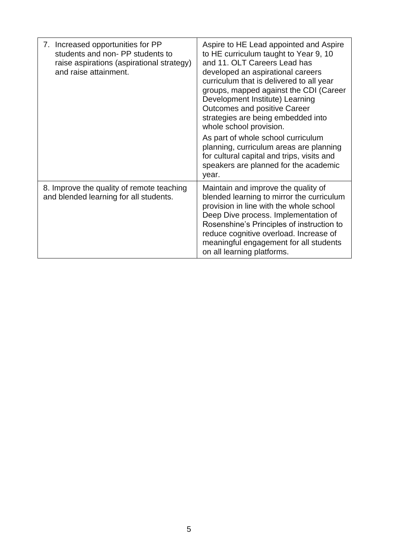| 7. Increased opportunities for PP<br>students and non- PP students to<br>raise aspirations (aspirational strategy)<br>and raise attainment. | Aspire to HE Lead appointed and Aspire<br>to HE curriculum taught to Year 9, 10<br>and 11, OLT Careers Lead has<br>developed an aspirational careers<br>curriculum that is delivered to all year<br>groups, mapped against the CDI (Career<br>Development Institute) Learning<br><b>Outcomes and positive Career</b><br>strategies are being embedded into<br>whole school provision.<br>As part of whole school curriculum<br>planning, curriculum areas are planning<br>for cultural capital and trips, visits and<br>speakers are planned for the academic<br>year. |
|---------------------------------------------------------------------------------------------------------------------------------------------|------------------------------------------------------------------------------------------------------------------------------------------------------------------------------------------------------------------------------------------------------------------------------------------------------------------------------------------------------------------------------------------------------------------------------------------------------------------------------------------------------------------------------------------------------------------------|
| 8. Improve the quality of remote teaching<br>and blended learning for all students.                                                         | Maintain and improve the quality of<br>blended learning to mirror the curriculum<br>provision in line with the whole school<br>Deep Dive process. Implementation of<br>Rosenshine's Principles of instruction to<br>reduce cognitive overload. Increase of<br>meaningful engagement for all students<br>on all learning platforms.                                                                                                                                                                                                                                     |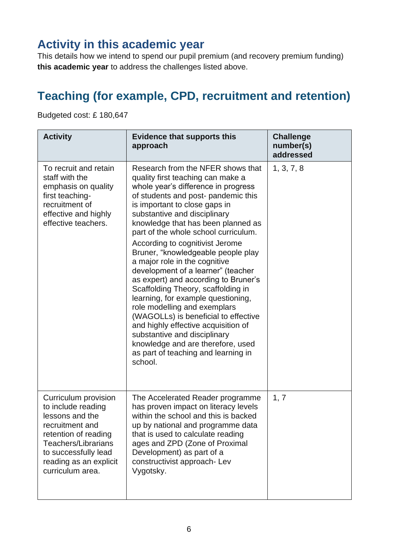#### **Activity in this academic year**

This details how we intend to spend our pupil premium (and recovery premium funding) **this academic year** to address the challenges listed above.

## **Teaching (for example, CPD, recruitment and retention)**

Budgeted cost: £ 180,647

| <b>Activity</b>                                                                                                                                                                                              | <b>Evidence that supports this</b><br>approach                                                                                                                                                                                                                                                                                                                                                                                                                                                                                                                                                                                                                                                                                                                                                                | <b>Challenge</b><br>number(s)<br>addressed |
|--------------------------------------------------------------------------------------------------------------------------------------------------------------------------------------------------------------|---------------------------------------------------------------------------------------------------------------------------------------------------------------------------------------------------------------------------------------------------------------------------------------------------------------------------------------------------------------------------------------------------------------------------------------------------------------------------------------------------------------------------------------------------------------------------------------------------------------------------------------------------------------------------------------------------------------------------------------------------------------------------------------------------------------|--------------------------------------------|
| To recruit and retain<br>staff with the<br>emphasis on quality<br>first teaching-<br>recruitment of<br>effective and highly<br>effective teachers.                                                           | Research from the NFER shows that<br>quality first teaching can make a<br>whole year's difference in progress<br>of students and post- pandemic this<br>is important to close gaps in<br>substantive and disciplinary<br>knowledge that has been planned as<br>part of the whole school curriculum.<br>According to cognitivist Jerome<br>Bruner, "knowledgeable people play<br>a major role in the cognitive<br>development of a learner" (teacher<br>as expert) and according to Bruner's<br>Scaffolding Theory, scaffolding in<br>learning, for example questioning,<br>role modelling and exemplars<br>(WAGOLLs) is beneficial to effective<br>and highly effective acquisition of<br>substantive and disciplinary<br>knowledge and are therefore, used<br>as part of teaching and learning in<br>school. | 1, 3, 7, 8                                 |
| Curriculum provision<br>to include reading<br>lessons and the<br>recruitment and<br>retention of reading<br><b>Teachers/Librarians</b><br>to successfully lead<br>reading as an explicit<br>curriculum area. | The Accelerated Reader programme<br>has proven impact on literacy levels<br>within the school and this is backed<br>up by national and programme data<br>that is used to calculate reading<br>ages and ZPD (Zone of Proximal<br>Development) as part of a<br>constructivist approach- Lev<br>Vygotsky.                                                                                                                                                                                                                                                                                                                                                                                                                                                                                                        | 1, 7                                       |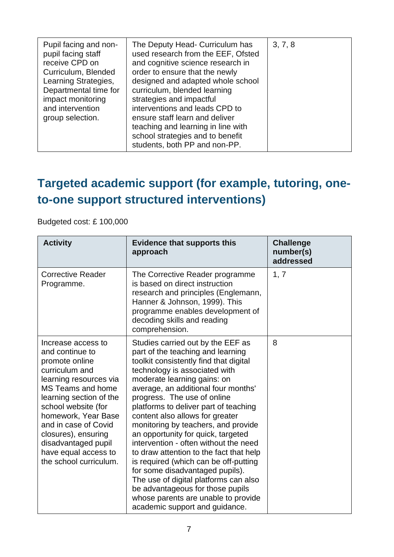| Pupil facing and non-<br>pupil facing staff<br>receive CPD on<br>Curriculum, Blended<br>Learning Strategies,<br>Departmental time for<br>impact monitoring<br>and intervention<br>group selection. | The Deputy Head- Curriculum has<br>used research from the EEF, Ofsted<br>and cognitive science research in<br>order to ensure that the newly<br>designed and adapted whole school<br>curriculum, blended learning<br>strategies and impactful<br>interventions and leads CPD to<br>ensure staff learn and deliver<br>teaching and learning in line with<br>school strategies and to benefit<br>students, both PP and non-PP. | 3, 7, 8 |
|----------------------------------------------------------------------------------------------------------------------------------------------------------------------------------------------------|------------------------------------------------------------------------------------------------------------------------------------------------------------------------------------------------------------------------------------------------------------------------------------------------------------------------------------------------------------------------------------------------------------------------------|---------|
|----------------------------------------------------------------------------------------------------------------------------------------------------------------------------------------------------|------------------------------------------------------------------------------------------------------------------------------------------------------------------------------------------------------------------------------------------------------------------------------------------------------------------------------------------------------------------------------------------------------------------------------|---------|

## **Targeted academic support (for example, tutoring, oneto-one support structured interventions)**

Budgeted cost: £ 100,000

| <b>Activity</b>                                                                                                                                                                                                                                                                                                                  | <b>Evidence that supports this</b><br>approach                                                                                                                                                                                                                                                                                                                                                                                                                                                                                                                                                                                                                                                                                        | <b>Challenge</b><br>number(s)<br>addressed |
|----------------------------------------------------------------------------------------------------------------------------------------------------------------------------------------------------------------------------------------------------------------------------------------------------------------------------------|---------------------------------------------------------------------------------------------------------------------------------------------------------------------------------------------------------------------------------------------------------------------------------------------------------------------------------------------------------------------------------------------------------------------------------------------------------------------------------------------------------------------------------------------------------------------------------------------------------------------------------------------------------------------------------------------------------------------------------------|--------------------------------------------|
| <b>Corrective Reader</b><br>Programme.                                                                                                                                                                                                                                                                                           | The Corrective Reader programme<br>is based on direct instruction<br>research and principles (Englemann,<br>Hanner & Johnson, 1999). This<br>programme enables development of<br>decoding skills and reading<br>comprehension.                                                                                                                                                                                                                                                                                                                                                                                                                                                                                                        | 1, 7                                       |
| Increase access to<br>and continue to<br>promote online<br>curriculum and<br>learning resources via<br><b>MS Teams and home</b><br>learning section of the<br>school website (for<br>homework, Year Base<br>and in case of Covid<br>closures), ensuring<br>disadvantaged pupil<br>have equal access to<br>the school curriculum. | Studies carried out by the EEF as<br>part of the teaching and learning<br>toolkit consistently find that digital<br>technology is associated with<br>moderate learning gains: on<br>average, an additional four months'<br>progress. The use of online<br>platforms to deliver part of teaching<br>content also allows for greater<br>monitoring by teachers, and provide<br>an opportunity for quick, targeted<br>intervention - often without the need<br>to draw attention to the fact that help<br>is required (which can be off-putting<br>for some disadvantaged pupils).<br>The use of digital platforms can also<br>be advantageous for those pupils<br>whose parents are unable to provide<br>academic support and guidance. | 8                                          |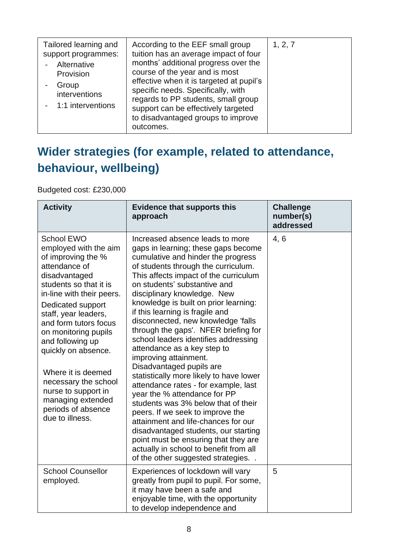| Tailored learning and<br>support programmes:<br>Alternative<br>Provision<br>Group<br>interventions<br>- 1:1 interventions | According to the EEF small group<br>tuition has an average impact of four<br>months' additional progress over the<br>course of the year and is most<br>effective when it is targeted at pupil's<br>specific needs. Specifically, with<br>regards to PP students, small group<br>support can be effectively targeted<br>to disadvantaged groups to improve<br>outcomes. | 1, 2, 7 |
|---------------------------------------------------------------------------------------------------------------------------|------------------------------------------------------------------------------------------------------------------------------------------------------------------------------------------------------------------------------------------------------------------------------------------------------------------------------------------------------------------------|---------|

## **Wider strategies (for example, related to attendance, behaviour, wellbeing)**

Budgeted cost: £230,000

| <b>Activity</b>                                                                                                                                                                                                                                                                                    | <b>Evidence that supports this</b><br>approach                                                                                                                                                                                                                                                                                                                                                                                                                                                                        | <b>Challenge</b><br>number(s)<br>addressed |
|----------------------------------------------------------------------------------------------------------------------------------------------------------------------------------------------------------------------------------------------------------------------------------------------------|-----------------------------------------------------------------------------------------------------------------------------------------------------------------------------------------------------------------------------------------------------------------------------------------------------------------------------------------------------------------------------------------------------------------------------------------------------------------------------------------------------------------------|--------------------------------------------|
| <b>School EWO</b><br>employed with the aim<br>of improving the %<br>attendance of<br>disadvantaged<br>students so that it is<br>in-line with their peers.<br>Dedicated support<br>staff, year leaders,<br>and form tutors focus<br>on monitoring pupils<br>and following up<br>quickly on absence. | Increased absence leads to more<br>gaps in learning; these gaps become<br>cumulative and hinder the progress<br>of students through the curriculum.<br>This affects impact of the curriculum<br>on students' substantive and<br>disciplinary knowledge. New<br>knowledge is built on prior learning:<br>if this learning is fragile and<br>disconnected, new knowledge 'falls<br>through the gaps'. NFER briefing for<br>school leaders identifies addressing<br>attendance as a key step to<br>improving attainment. | 4,6                                        |
| Where it is deemed<br>necessary the school<br>nurse to support in<br>managing extended<br>periods of absence<br>due to illness.                                                                                                                                                                    | Disadvantaged pupils are<br>statistically more likely to have lower<br>attendance rates - for example, last<br>year the % attendance for PP<br>students was 3% below that of their<br>peers. If we seek to improve the<br>attainment and life-chances for our<br>disadvantaged students, our starting<br>point must be ensuring that they are<br>actually in school to benefit from all<br>of the other suggested strategies                                                                                          |                                            |
| <b>School Counsellor</b><br>employed.                                                                                                                                                                                                                                                              | Experiences of lockdown will vary<br>greatly from pupil to pupil. For some,<br>it may have been a safe and<br>enjoyable time, with the opportunity<br>to develop independence and                                                                                                                                                                                                                                                                                                                                     | 5                                          |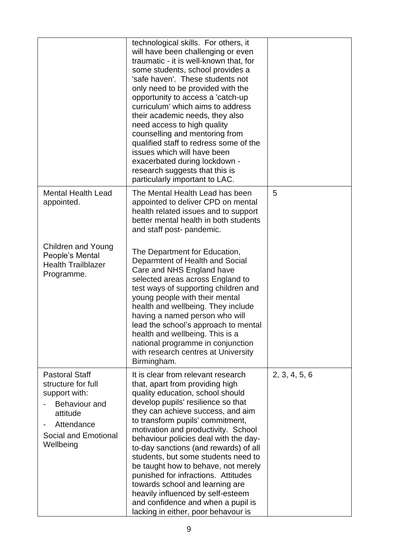|                                                                                                                                              | technological skills. For others, it<br>will have been challenging or even<br>traumatic - it is well-known that, for<br>some students, school provides a<br>'safe haven'. These students not<br>only need to be provided with the<br>opportunity to access a 'catch-up<br>curriculum' which aims to address<br>their academic needs, they also<br>need access to high quality<br>counselling and mentoring from<br>qualified staff to redress some of the<br>issues which will have been<br>exacerbated during lockdown -<br>research suggests that this is<br>particularly important to LAC.                               |               |
|----------------------------------------------------------------------------------------------------------------------------------------------|-----------------------------------------------------------------------------------------------------------------------------------------------------------------------------------------------------------------------------------------------------------------------------------------------------------------------------------------------------------------------------------------------------------------------------------------------------------------------------------------------------------------------------------------------------------------------------------------------------------------------------|---------------|
| <b>Mental Health Lead</b><br>appointed.                                                                                                      | The Mental Health Lead has been<br>appointed to deliver CPD on mental<br>health related issues and to support<br>better mental health in both students<br>and staff post- pandemic.                                                                                                                                                                                                                                                                                                                                                                                                                                         | 5             |
| Children and Young<br>People's Mental<br><b>Health Trailblazer</b><br>Programme.                                                             | The Department for Education,<br>Deparmtent of Health and Social<br>Care and NHS England have<br>selected areas across England to<br>test ways of supporting children and<br>young people with their mental<br>health and wellbeing. They include<br>having a named person who will<br>lead the school's approach to mental<br>health and wellbeing. This is a<br>national programme in conjunction<br>with research centres at University<br>Birmingham.                                                                                                                                                                   |               |
| <b>Pastoral Staff</b><br>structure for full<br>support with:<br>Behaviour and<br>attitude<br>Attendance<br>Social and Emotional<br>Wellbeing | It is clear from relevant research<br>that, apart from providing high<br>quality education, school should<br>develop pupils' resilience so that<br>they can achieve success, and aim<br>to transform pupils' commitment,<br>motivation and productivity. School<br>behaviour policies deal with the day-<br>to-day sanctions (and rewards) of all<br>students, but some students need to<br>be taught how to behave, not merely<br>punished for infractions. Attitudes<br>towards school and learning are<br>heavily influenced by self-esteem<br>and confidence and when a pupil is<br>lacking in either, poor behavour is | 2, 3, 4, 5, 6 |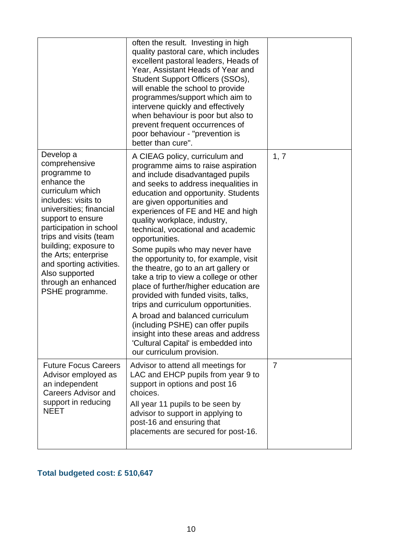|                                                                                                                                                                                                                                                                                                                                                    | often the result. Investing in high<br>quality pastoral care, which includes<br>excellent pastoral leaders, Heads of<br>Year, Assistant Heads of Year and<br>Student Support Officers (SSOs),<br>will enable the school to provide<br>programmes/support which aim to<br>intervene quickly and effectively<br>when behaviour is poor but also to<br>prevent frequent occurrences of<br>poor behaviour - "prevention is<br>better than cure".                                                                                                                                                                                                                                                                                                                                                                                 |                |
|----------------------------------------------------------------------------------------------------------------------------------------------------------------------------------------------------------------------------------------------------------------------------------------------------------------------------------------------------|------------------------------------------------------------------------------------------------------------------------------------------------------------------------------------------------------------------------------------------------------------------------------------------------------------------------------------------------------------------------------------------------------------------------------------------------------------------------------------------------------------------------------------------------------------------------------------------------------------------------------------------------------------------------------------------------------------------------------------------------------------------------------------------------------------------------------|----------------|
| Develop a<br>comprehensive<br>programme to<br>enhance the<br>curriculum which<br>includes: visits to<br>universities; financial<br>support to ensure<br>participation in school<br>trips and visits (team<br>building; exposure to<br>the Arts; enterprise<br>and sporting activities.<br>Also supported<br>through an enhanced<br>PSHE programme. | A CIEAG policy, curriculum and<br>programme aims to raise aspiration<br>and include disadvantaged pupils<br>and seeks to address inequalities in<br>education and opportunity. Students<br>are given opportunities and<br>experiences of FE and HE and high<br>quality workplace, industry,<br>technical, vocational and academic<br>opportunities.<br>Some pupils who may never have<br>the opportunity to, for example, visit<br>the theatre, go to an art gallery or<br>take a trip to view a college or other<br>place of further/higher education are<br>provided with funded visits, talks,<br>trips and curriculum opportunities.<br>A broad and balanced curriculum<br>(including PSHE) can offer pupils<br>insight into these areas and address<br>'Cultural Capital' is embedded into<br>our curriculum provision. | 1, 7           |
| <b>Future Focus Careers</b><br>Advisor employed as<br>an independent<br><b>Careers Advisor and</b><br>support in reducing<br><b>NEET</b>                                                                                                                                                                                                           | Advisor to attend all meetings for<br>LAC and EHCP pupils from year 9 to<br>support in options and post 16<br>choices.<br>All year 11 pupils to be seen by<br>advisor to support in applying to<br>post-16 and ensuring that<br>placements are secured for post-16.                                                                                                                                                                                                                                                                                                                                                                                                                                                                                                                                                          | $\overline{7}$ |

#### **Total budgeted cost: £ 510,647**